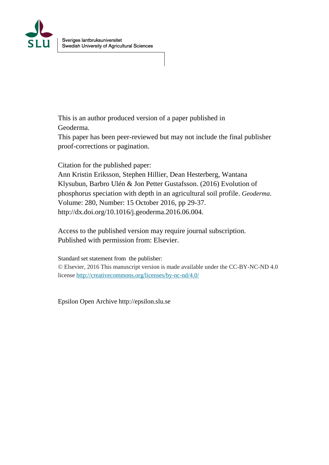

This is an author produced version of a paper published in Geoderma.

This paper has been peer-reviewed but may not include the final publisher proof-corrections or pagination.

Citation for the published paper:

Ann Kristin Eriksson, Stephen Hillier, Dean Hesterberg, Wantana Klysubun, Barbro Ulén & Jon Petter Gustafsson. (2016) Evolution of phosphorus speciation with depth in an agricultural soil profile. *Geoderma*. Volume: 280, Number: 15 October 2016, pp 29-37. http://dx.doi.org/10.1016/j.geoderma.2016.06.004.

Access to the published version may require journal subscription. Published with permission from: Elsevier.

Standard set statement from the publisher: © Elsevier, 2016 This manuscript version is made available under the CC-BY-NC-ND 4.0 license<http://creativecommons.org/licenses/by-nc-nd/4.0/>

Epsilon Open Archive http://epsilon.slu.se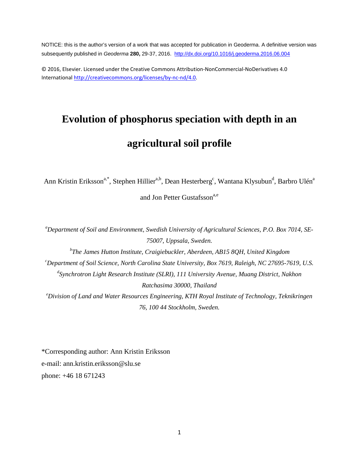NOTICE: this is the author's version of a work that was accepted for publication in Geoderma. A definitive version was subsequently published in *Geoderma* **280,** 29-37, 2016.<http://dx.doi.org/10.1016/j.geoderma.2016.06.004>

© 2016, Elsevier. Licensed under the Creative Commons Attribution-NonCommercial-NoDerivatives 4.0 International [http://creativecommons.org/licenses/by-nc-nd/4.0.](http://creativecommons.org/licenses/by-nc-nd/4.0)

# **Evolution of phosphorus speciation with depth in an agricultural soil profile**

Ann Kristin Eriksson<sup>a,\*</sup>, Stephen Hillier<sup>a,b</sup>, Dean Hesterberg<sup>c</sup>, Wantana Klysubun<sup>d</sup>, Barbro Ulén<sup>a</sup> and Jon Petter Gustafsson<sup>a,e</sup>

*a Department of Soil and Environment, Swedish University of Agricultural Sciences, P.O. Box 7014, SE-75007, Uppsala, Sweden. b The James Hutton Institute, Craigiebuckler, Aberdeen, AB15 8QH, United Kingdom c Department of Soil Science, North Carolina State University, Box 7619, Raleigh, NC 27695-7619, U.S. d Synchrotron Light Research Institute (SLRI), 111 University Avenue, Muang District, Nakhon Ratchasima 30000, Thailand e Division of Land and Water Resources Engineering, KTH Royal Institute of Technology, Teknikringen 76, 100 44 Stockholm, Sweden.*

\*Corresponding author: Ann Kristin Eriksson e-mail: ann.kristin.eriksson@slu.se phone: +46 18 671243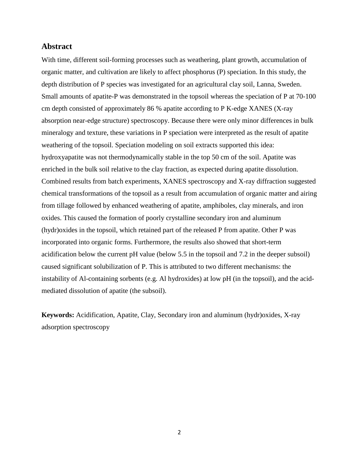# **Abstract**

With time, different soil-forming processes such as weathering, plant growth, accumulation of organic matter, and cultivation are likely to affect phosphorus (P) speciation. In this study, the depth distribution of P species was investigated for an agricultural clay soil, Lanna, Sweden. Small amounts of apatite-P was demonstrated in the topsoil whereas the speciation of P at 70-100 cm depth consisted of approximately 86 % apatite according to P K-edge XANES (X-ray absorption near-edge structure) spectroscopy. Because there were only minor differences in bulk mineralogy and texture, these variations in P speciation were interpreted as the result of apatite weathering of the topsoil. Speciation modeling on soil extracts supported this idea: hydroxyapatite was not thermodynamically stable in the top 50 cm of the soil. Apatite was enriched in the bulk soil relative to the clay fraction, as expected during apatite dissolution. Combined results from batch experiments, XANES spectroscopy and X-ray diffraction suggested chemical transformations of the topsoil as a result from accumulation of organic matter and airing from tillage followed by enhanced weathering of apatite, amphiboles, clay minerals, and iron oxides. This caused the formation of poorly crystalline secondary iron and aluminum (hydr)oxides in the topsoil, which retained part of the released P from apatite. Other P was incorporated into organic forms. Furthermore, the results also showed that short-term acidification below the current pH value (below 5.5 in the topsoil and 7.2 in the deeper subsoil) caused significant solubilization of P. This is attributed to two different mechanisms: the instability of Al-containing sorbents (e.g. Al hydroxides) at low pH (in the topsoil), and the acidmediated dissolution of apatite (the subsoil).

**Keywords:** Acidification, Apatite, Clay, Secondary iron and aluminum (hydr)oxides, X-ray adsorption spectroscopy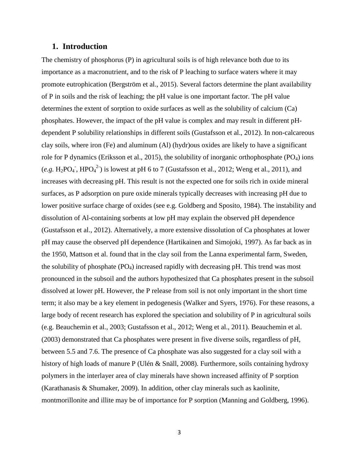# **1. Introduction**

The chemistry of phosphorus (P) in agricultural soils is of high relevance both due to its importance as a macronutrient, and to the risk of P leaching to surface waters where it may promote eutrophication (Bergström et al., 2015). Several factors determine the plant availability of P in soils and the risk of leaching; the pH value is one important factor. The pH value determines the extent of sorption to oxide surfaces as well as the solubility of calcium (Ca) phosphates. However, the impact of the pH value is complex and may result in different pHdependent P solubility relationships in different soils (Gustafsson et al., 2012). In non-calcareous clay soils, where iron (Fe) and aluminum (Al) (hydr)ous oxides are likely to have a significant role for P dynamics (Eriksson et al., 2015), the solubility of inorganic orthophosphate  $(PO<sub>4</sub>)$  ions (*e.g.* H<sub>2</sub>PO<sub>4</sub><sup>-</sup>, HPO<sub>4</sub><sup>2</sup>) is lowest at pH 6 to 7 (Gustafsson et al., 2012; Weng et al., 2011), and increases with decreasing pH. This result is not the expected one for soils rich in oxide mineral surfaces, as P adsorption on pure oxide minerals typically decreases with increasing pH due to lower positive surface charge of oxides (see e.g. Goldberg and Sposito, 1984). The instability and dissolution of Al-containing sorbents at low pH may explain the observed pH dependence (Gustafsson et al., 2012). Alternatively, a more extensive dissolution of Ca phosphates at lower pH may cause the observed pH dependence (Hartikainen and Simojoki, 1997). As far back as in the 1950, Mattson et al. found that in the clay soil from the Lanna experimental farm, Sweden, the solubility of phosphate  $(PO<sub>4</sub>)$  increased rapidly with decreasing pH. This trend was most pronounced in the subsoil and the authors hypothesized that Ca phosphates present in the subsoil dissolved at lower pH. However, the P release from soil is not only important in the short time term; it also may be a key element in pedogenesis (Walker and Syers, 1976). For these reasons, a large body of recent research has explored the speciation and solubility of P in agricultural soils (e.g. Beauchemin et al., 2003; Gustafsson et al., 2012; Weng et al., 2011). Beauchemin et al. (2003) demonstrated that Ca phosphates were present in five diverse soils, regardless of pH, between 5.5 and 7.6. The presence of Ca phosphate was also suggested for a clay soil with a history of high loads of manure P (Ulén & Snäll, 2008). Furthermore, soils containing hydroxy polymers in the interlayer area of clay minerals have shown increased affinity of P sorption (Karathanasis & Shumaker, 2009). In addition, other clay minerals such as kaolinite, montmorillonite and illite may be of importance for P sorption (Manning and Goldberg, 1996).

3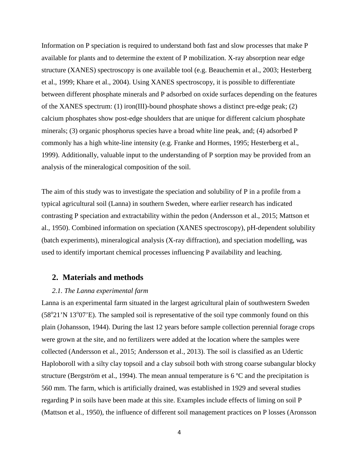Information on P speciation is required to understand both fast and slow processes that make P available for plants and to determine the extent of P mobilization. X-ray absorption near edge structure (XANES) spectroscopy is one available tool (e.g. Beauchemin et al., 2003; Hesterberg et al., 1999; Khare et al., 2004). Using XANES spectroscopy, it is possible to differentiate between different phosphate minerals and P adsorbed on oxide surfaces depending on the features of the XANES spectrum: (1) iron(III)-bound phosphate shows a distinct pre-edge peak; (2) calcium phosphates show post-edge shoulders that are unique for different calcium phosphate minerals; (3) organic phosphorus species have a broad white line peak, and; (4) adsorbed P commonly has a high white-line intensity (e.g. Franke and Hormes, 1995; Hesterberg et al., 1999). Additionally, valuable input to the understanding of P sorption may be provided from an analysis of the mineralogical composition of the soil.

The aim of this study was to investigate the speciation and solubility of P in a profile from a typical agricultural soil (Lanna) in southern Sweden, where earlier research has indicated contrasting P speciation and extractability within the pedon (Andersson et al., 2015; Mattson et al., 1950). Combined information on speciation (XANES spectroscopy), pH-dependent solubility (batch experiments), mineralogical analysis (X-ray diffraction), and speciation modelling, was used to identify important chemical processes influencing P availability and leaching.

## **2. Materials and methods**

## *2.1. The Lanna experimental farm*

Lanna is an experimental farm situated in the largest agricultural plain of southwestern Sweden  $(58°21'N 13°07'E)$ . The sampled soil is representative of the soil type commonly found on this plain (Johansson, 1944). During the last 12 years before sample collection perennial forage crops were grown at the site, and no fertilizers were added at the location where the samples were collected (Andersson et al., 2015; Andersson et al., 2013). The soil is classified as an Udertic Haploboroll with a silty clay topsoil and a clay subsoil both with strong coarse subangular blocky structure (Bergström et al., 1994). The mean annual temperature is  $6^{\circ}$ C and the precipitation is 560 mm. The farm, which is artificially drained, was established in 1929 and several studies regarding P in soils have been made at this site. Examples include effects of liming on soil P (Mattson et al., 1950), the influence of different soil management practices on P losses (Aronsson

4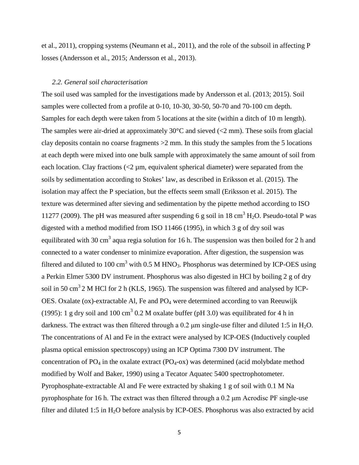et al., 2011), cropping systems (Neumann et al., 2011), and the role of the subsoil in affecting P losses (Andersson et al., 2015; Andersson et al., 2013).

#### *2.2. General soil characterisation*

The soil used was sampled for the investigations made by Andersson et al. (2013; 2015). Soil samples were collected from a profile at 0-10, 10-30, 30-50, 50-70 and 70-100 cm depth. Samples for each depth were taken from 5 locations at the site (within a ditch of 10 m length). The samples were air-dried at approximately  $30^{\circ}$ C and sieved ( $\lt 2$  mm). These soils from glacial clay deposits contain no coarse fragments >2 mm. In this study the samples from the 5 locations at each depth were mixed into one bulk sample with approximately the same amount of soil from each location. Clay fractions  $\langle 2 \mu m$ , equivalent spherical diameter) were separated from the soils by sedimentation according to Stokes' law, as described in Eriksson et al. (2015). The isolation may affect the P speciation, but the effects seem small (Eriksson et al. 2015). The texture was determined after sieving and sedimentation by the pipette method according to ISO 11277 (2009). The pH was measured after suspending 6 g soil in 18 cm<sup>3</sup> H<sub>2</sub>O. Pseudo-total P was digested with a method modified from ISO 11466 (1995), in which 3 g of dry soil was equilibrated with 30 cm<sup>3</sup> aqua regia solution for 16 h. The suspension was then boiled for 2 h and connected to a water condenser to minimize evaporation. After digestion, the suspension was filtered and diluted to 100 cm<sup>3</sup> with 0.5 M HNO<sub>3</sub>. Phosphorus was determined by ICP-OES using a Perkin Elmer 5300 DV instrument. Phosphorus was also digested in HCl by boiling 2 g of dry soil in 50 cm<sup>3</sup> 2 M HCl for 2 h (KLS, 1965). The suspension was filtered and analysed by ICP-OES. Oxalate (ox)-extractable Al, Fe and  $PO_4$  were determined according to van Reeuwijk (1995): 1 g dry soil and 100 cm<sup>3</sup> 0.2 M oxalate buffer (pH 3.0) was equilibrated for 4 h in darkness. The extract was then filtered through a  $0.2 \mu m$  single-use filter and diluted 1:5 in H<sub>2</sub>O. The concentrations of Al and Fe in the extract were analysed by ICP-OES (Inductively coupled plasma optical emission spectroscopy) using an ICP Optima 7300 DV instrument. The concentration of  $PO_4$  in the oxalate extract  $(PO_4$ -ox) was determined (acid molybdate method modified by Wolf and Baker, 1990) using a Tecator Aquatec 5400 spectrophotometer. Pyrophosphate-extractable Al and Fe were extracted by shaking 1 g of soil with 0.1 M Na pyrophosphate for 16 h. The extract was then filtered through a 0.2 μm Acrodisc PF single-use filter and diluted 1:5 in  $H_2O$  before analysis by ICP-OES. Phosphorus was also extracted by acid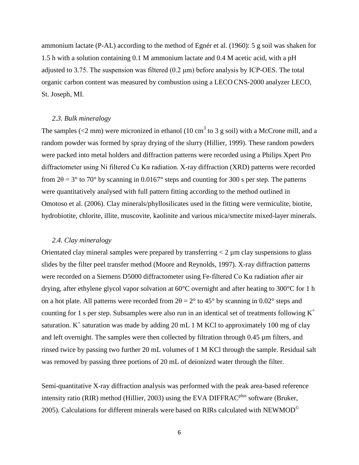ammonium lactate (P-AL) according to the method of Egnér et al. (1960): 5 g soil was shaken for 1.5 h with a solution containing 0.1 M ammonium lactate and 0.4 M acetic acid, with a pH adjusted to 3.75. The suspension was filtered  $(0.2 \mu m)$  before analysis by ICP-OES. The total organic carbon content was measured by combustion using a LECO CNS-2000 analyzer LECO, St. Joseph, MI.

### *2.3. Bulk mineralogy*

The samples ( $\langle 2 \text{ mm} \rangle$  were micronized in ethanol (10 cm<sup>3</sup> to 3 g soil) with a McCrone mill, and a random powder was formed by spray drying of the slurry (Hillier, 1999). These random powders were packed into metal holders and diffraction patterns were recorded using a Philips Xpert Pro diffractometer using Ni filtered Cu Kα radiation. X-ray diffraction (XRD) patterns were recorded from  $2\theta = 3^{\circ}$  to  $70^{\circ}$  by scanning in 0.0167° steps and counting for 300 s per step. The patterns were quantitatively analysed with full pattern fitting according to the method outlined in Omotoso et al. (2006). Clay minerals/phyllosilicates used in the fitting were vermiculite, biotite, hydrobiotite, chlorite, illite, muscovite, kaolinite and various mica/smectite mixed-layer minerals.

## *2.4. Clay mineralogy*

Orientated clay mineral samples were prepared by transferring  $\langle 2 \mu m \rangle$  clay suspensions to glass slides by the filter peel transfer method (Moore and Reynolds, 1997). X-ray diffraction patterns were recorded on a Siemens D5000 diffractometer using Fe-filtered Co Kα radiation after air drying, after ethylene glycol vapor solvation at 60°C overnight and after heating to 300°C for 1 h on a hot plate. All patterns were recorded from  $2\theta = 2^{\circ}$  to 45° by scanning in 0.02° steps and counting for 1 s per step. Subsamples were also run in an identical set of treatments following  $K^+$ saturation.  $K^+$  saturation was made by adding 20 mL 1 M KCl to approximately 100 mg of clay and left overnight. The samples were then collected by filtration through 0.45  $\mu$ m filters, and rinsed twice by passing two further 20 mL volumes of 1 M KCl through the sample. Residual salt was removed by passing three portions of 20 mL of deionized water through the filter.

Semi-quantitative X-ray diffraction analysis was performed with the peak area-based reference intensity ratio (RIR) method (Hillier, 2003) using the EVA DIFFRAC<sup>plus</sup> software (Bruker, 2005). Calculations for different minerals were based on RIRs calculated with  $NEWMOD^{\copyright}$ 

6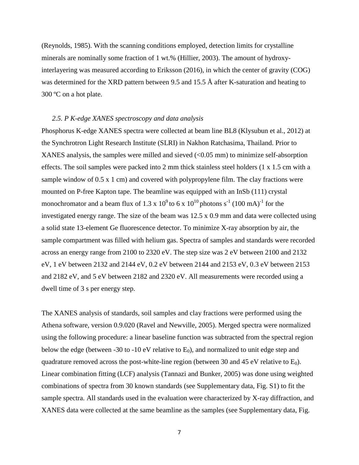(Reynolds, 1985). With the scanning conditions employed, detection limits for crystalline minerals are nominally some fraction of 1 wt.% (Hillier, 2003). The amount of hydroxyinterlayering was measured according to Eriksson (2016), in which the center of gravity (COG) was determined for the XRD pattern between 9.5 and 15.5 Å after K-saturation and heating to 300 ºC on a hot plate.

#### *2.5. P K-edge XANES spectroscopy and data analysis*

Phosphorus K-edge XANES spectra were collected at beam line BL8 (Klysubun et al., 2012) at the Synchrotron Light Research Institute (SLRI) in Nakhon Ratchasima, Thailand. Prior to XANES analysis, the samples were milled and sieved  $\langle$  <0.05 mm) to minimize self-absorption effects. The soil samples were packed into 2 mm thick stainless steel holders (1 x 1.5 cm with a sample window of 0.5 x 1 cm) and covered with polypropylene film. The clay fractions were mounted on P-free Kapton tape. The beamline was equipped with an InSb (111) crystal monochromator and a beam flux of 1.3 x  $10^9$  to 6 x  $10^{10}$  photons s<sup>-1</sup> (100 mA)<sup>-1</sup> for the investigated energy range. The size of the beam was 12.5 x 0.9 mm and data were collected using a solid state 13-element Ge fluorescence detector. To minimize X-ray absorption by air, the sample compartment was filled with helium gas. Spectra of samples and standards were recorded across an energy range from 2100 to 2320 eV. The step size was 2 eV between 2100 and 2132 eV, 1 eV between 2132 and 2144 eV, 0.2 eV between 2144 and 2153 eV, 0.3 eV between 2153 and 2182 eV, and 5 eV between 2182 and 2320 eV. All measurements were recorded using a dwell time of 3 s per energy step.

The XANES analysis of standards, soil samples and clay fractions were performed using the Athena software, version 0.9.020 (Ravel and Newville, 2005). Merged spectra were normalized using the following procedure: a linear baseline function was subtracted from the spectral region below the edge (between -30 to -10 eV relative to  $E_0$ ), and normalized to unit edge step and quadrature removed across the post-white-line region (between 30 and 45 eV relative to  $E_0$ ). Linear combination fitting (LCF) analysis (Tannazi and Bunker, 2005) was done using weighted combinations of spectra from 30 known standards (see Supplementary data, Fig. S1) to fit the sample spectra. All standards used in the evaluation were characterized by X-ray diffraction, and XANES data were collected at the same beamline as the samples (see Supplementary data, Fig.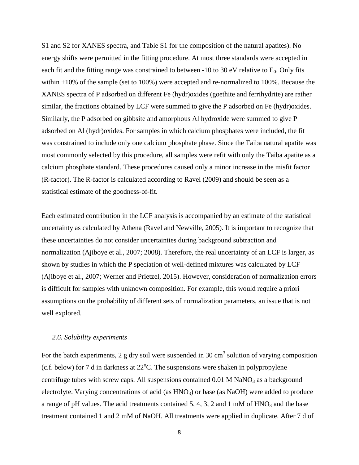S1 and S2 for XANES spectra, and Table S1 for the composition of the natural apatites). No energy shifts were permitted in the fitting procedure. At most three standards were accepted in each fit and the fitting range was constrained to between -10 to 30 eV relative to  $E_0$ . Only fits within  $\pm 10\%$  of the sample (set to 100%) were accepted and re-normalized to 100%. Because the XANES spectra of P adsorbed on different Fe (hydr)oxides (goethite and ferrihydrite) are rather similar, the fractions obtained by LCF were summed to give the P adsorbed on Fe (hydr)oxides. Similarly, the P adsorbed on gibbsite and amorphous Al hydroxide were summed to give P adsorbed on Al (hydr)oxides. For samples in which calcium phosphates were included, the fit was constrained to include only one calcium phosphate phase. Since the Taiba natural apatite was most commonly selected by this procedure, all samples were refit with only the Taiba apatite as a calcium phosphate standard. These procedures caused only a minor increase in the misfit factor (R-factor). The R-factor is calculated according to Ravel (2009) and should be seen as a statistical estimate of the goodness-of-fit.

Each estimated contribution in the LCF analysis is accompanied by an estimate of the statistical uncertainty as calculated by Athena (Ravel and Newville, 2005). It is important to recognize that these uncertainties do not consider uncertainties during background subtraction and normalization (Ajiboye et al., 2007; 2008). Therefore, the real uncertainty of an LCF is larger, as shown by studies in which the P speciation of well-defined mixtures was calculated by LCF (Ajiboye et al., 2007; Werner and Prietzel, 2015). However, consideration of normalization errors is difficult for samples with unknown composition. For example, this would require a priori assumptions on the probability of different sets of normalization parameters, an issue that is not well explored.

# *2.6. Solubility experiments*

For the batch experiments, 2 g dry soil were suspended in 30  $\text{cm}^3$  solution of varying composition  $(c.f.$  below) for 7 d in darkness at  $22^{\circ}$ C. The suspensions were shaken in polypropylene centrifuge tubes with screw caps. All suspensions contained  $0.01$  M NaNO<sub>3</sub> as a background electrolyte. Varying concentrations of acid (as HNO<sub>3</sub>) or base (as NaOH) were added to produce a range of pH values. The acid treatments contained 5, 4, 3, 2 and 1 mM of  $HNO<sub>3</sub>$  and the base treatment contained 1 and 2 mM of NaOH. All treatments were applied in duplicate. After 7 d of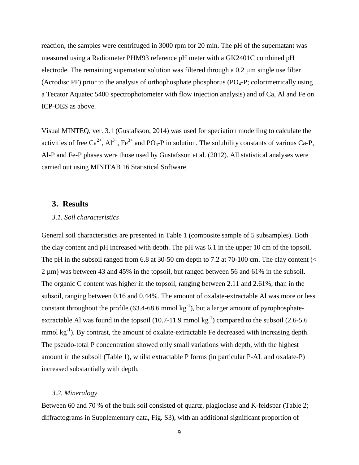reaction, the samples were centrifuged in 3000 rpm for 20 min. The pH of the supernatant was measured using a Radiometer PHM93 reference pH meter with a GK2401C combined pH electrode. The remaining supernatant solution was filtered through a 0.2 µm single use filter (Acrodisc PF) prior to the analysis of orthophosphate phosphorus ( $PO<sub>4</sub>-P$ ; colorimetrically using a Tecator Aquatec 5400 spectrophotometer with flow injection analysis) and of Ca, Al and Fe on ICP-OES as above.

Visual MINTEQ, ver. 3.1 (Gustafsson, 2014) was used for speciation modelling to calculate the activities of free  $Ca^{2+}$ ,  $Al^{3+}$ , Fe<sup>3+</sup> and PO<sub>4</sub>-P in solution. The solubility constants of various Ca-P, Al-P and Fe-P phases were those used by Gustafsson et al. (2012). All statistical analyses were carried out using MINITAB 16 Statistical Software.

# **3. Results**

## *3.1. Soil characteristics*

General soil characteristics are presented in Table 1 (composite sample of 5 subsamples). Both the clay content and pH increased with depth. The pH was 6.1 in the upper 10 cm of the topsoil. The pH in the subsoil ranged from 6.8 at 30-50 cm depth to 7.2 at 70-100 cm. The clay content  $\ll$ 2 µm) was between 43 and 45% in the topsoil, but ranged between 56 and 61% in the subsoil. The organic C content was higher in the topsoil, ranging between 2.11 and 2.61%, than in the subsoil, ranging between 0.16 and 0.44%. The amount of oxalate-extractable Al was more or less constant throughout the profile  $(63.4-68.6 \text{ mmol kg}^{-1})$ , but a larger amount of pyrophosphateextractable Al was found in the topsoil (10.7-11.9 mmol  $kg^{-1}$ ) compared to the subsoil (2.6-5.6 mmol kg<sup>-1</sup>). By contrast, the amount of oxalate-extractable Fe decreased with increasing depth. The pseudo-total P concentration showed only small variations with depth, with the highest amount in the subsoil (Table 1), whilst extractable P forms (in particular P-AL and oxalate-P) increased substantially with depth.

#### *3.2. Mineralogy*

Between 60 and 70 % of the bulk soil consisted of quartz, plagioclase and K-feldspar (Table 2; diffractograms in Supplementary data, Fig. S3), with an additional significant proportion of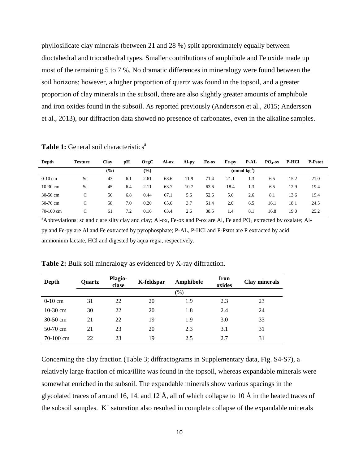phyllosilicate clay minerals (between 21 and 28 %) split approximately equally between dioctahedral and triocathedral types. Smaller contributions of amphibole and Fe oxide made up most of the remaining 5 to 7 %. No dramatic differences in mineralogy were found between the soil horizons; however, a higher proportion of quartz was found in the topsoil, and a greater proportion of clay minerals in the subsoil, there are also slightly greater amounts of amphibole and iron oxides found in the subsoil. As reported previously (Andersson et al., 2015; Andersson et al., 2013), our diffraction data showed no presence of carbonates, even in the alkaline samples.

| Depth      | <b>Texture</b> | Clay | рH  | OrgC          | Al-ox | Al-py | Fe-ox | Fe-py | <b>P-AL</b>              | $PO4-ox$ | <b>P-HCl</b> | <b>P-Pstot</b> |
|------------|----------------|------|-----|---------------|-------|-------|-------|-------|--------------------------|----------|--------------|----------------|
|            |                | (%)  |     | $\frac{9}{6}$ |       |       |       |       | $(mmol \text{ kg}^{-1})$ |          |              |                |
| $0-10$ cm  | Sc             | 43   | 6.1 | 2.61          | 68.6  | 11.9  | 71.4  | 21.1  | . .3                     | 6.5      | 15.2         | 21.0           |
| $10-30$ cm | Sc             | 45   | 6.4 | 2.11          | 63.7  | 10.7  | 63.6  | 18.4  | 1.3                      | 6.5      | 12.9         | 19.4           |
| $30-50$ cm | С              | 56   | 6.8 | 0.44          | 67.1  | 5.6   | 52.6  | 5.6   | 2.6                      | 8.1      | 13.6         | 19.4           |
| 50-70 cm   | C              | 58   | 7.0 | 0.20          | 65.6  | 3.7   | 51.4  | 2.0   | 6.5                      | 16.1     | 18.1         | 24.5           |
| 70-100 cm  | C              | 61   | 7.2 | 0.16          | 63.4  | 2.6   | 38.5  | 1.4   | 8.1                      | 16.8     | 19.0         | 25.2           |

**Table 1:** General soil characteristics<sup>a</sup>

<sup>a</sup>Abbreviations: sc and c are silty clay and clay; Al-ox, Fe-ox and P-ox are Al, Fe and PO<sub>4</sub> extracted by oxalate; Alpy and Fe-py are Al and Fe extracted by pyrophosphate; P-AL, P-HCl and P-Pstot are P extracted by acid ammonium lactate, HCl and digested by aqua regia, respectively.

| Depth       | <b>Ouartz</b> | Plagio-<br>clase | K-feldspar | Amphibole | Iron<br>oxides | <b>Clay minerals</b> |  |
|-------------|---------------|------------------|------------|-----------|----------------|----------------------|--|
|             |               |                  |            | $(\% )$   |                |                      |  |
| $0-10$ cm   | 31            | 22               | 20         | 1.9       | 2.3            | 23                   |  |
| $10-30$ cm  | 30            | 22               | 20         | 1.8       | 2.4            | 24                   |  |
| $30-50$ cm  | 21            | 22               | 19         | 1.9       | 3.0            | 33                   |  |
| $50-70$ cm  | 21            | 23               | 20         | 2.3       | 3.1            | 31                   |  |
| $70-100$ cm | 22            | 23               | 19         | 2.5       | 2.7            | 31                   |  |

**Table 2:** Bulk soil mineralogy as evidenced by X-ray diffraction.

Concerning the clay fraction (Table 3; diffractograms in Supplementary data, Fig. S4-S7), a relatively large fraction of mica/illite was found in the topsoil, whereas expandable minerals were somewhat enriched in the subsoil. The expandable minerals show various spacings in the glycolated traces of around 16, 14, and 12 Å, all of which collapse to 10 Å in the heated traces of the subsoil samples.  $K^+$  saturation also resulted in complete collapse of the expandable minerals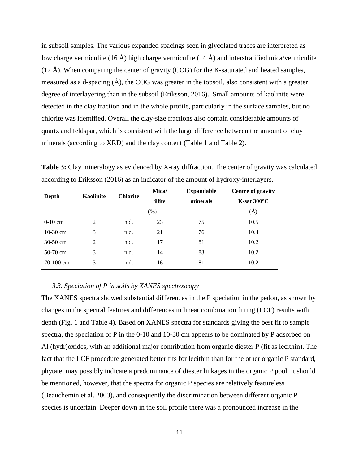in subsoil samples. The various expanded spacings seen in glycolated traces are interpreted as low charge vermiculite (16 Å) high charge vermiculite (14 Å) and interstratified mica/vermiculite (12 Å). When comparing the center of gravity (COG) for the K-saturated and heated samples, measured as a d-spacing  $(A)$ , the COG was greater in the topsoil, also consistent with a greater degree of interlayering than in the subsoil (Eriksson, 2016). Small amounts of kaolinite were detected in the clay fraction and in the whole profile, particularly in the surface samples, but no chlorite was identified. Overall the clay-size fractions also contain considerable amounts of quartz and feldspar, which is consistent with the large difference between the amount of clay minerals (according to XRD) and the clay content (Table 1 and Table 2).

| <b>Table 3:</b> Clay mineralogy as evidenced by X-ray diffraction. The center of gravity was calculated |  |
|---------------------------------------------------------------------------------------------------------|--|
| according to Eriksson (2016) as an indicator of the amount of hydroxy-interlayers.                      |  |

| <b>Kaolinite</b> | <b>Chlorite</b> | Mica/<br>illite | <b>Expandable</b><br>minerals | <b>Centre of gravity</b><br>$K$ -sat 300 $^{\circ}$ C |  |  |
|------------------|-----------------|-----------------|-------------------------------|-------------------------------------------------------|--|--|
|                  |                 | (% )            |                               | (A)                                                   |  |  |
| 2                | n.d.            | 23              | 75                            | 10.5                                                  |  |  |
| 3                | n.d.            | 21              | 76                            | 10.4                                                  |  |  |
| 2                | n.d.            | 17              | 81                            | 10.2                                                  |  |  |
| 3                | n.d.            | 14              | 83                            | 10.2                                                  |  |  |
| 3                | n.d.            | 16              | 81                            | 10.2                                                  |  |  |
|                  |                 |                 |                               |                                                       |  |  |

#### *3.3. Speciation of P in soils by XANES spectroscopy*

The XANES spectra showed substantial differences in the P speciation in the pedon, as shown by changes in the spectral features and differences in linear combination fitting (LCF) results with depth (Fig. 1 and Table 4). Based on XANES spectra for standards giving the best fit to sample spectra, the speciation of P in the 0-10 and 10-30 cm appears to be dominated by P adsorbed on Al (hydr)oxides, with an additional major contribution from organic diester P (fit as lecithin). The fact that the LCF procedure generated better fits for lecithin than for the other organic P standard, phytate, may possibly indicate a predominance of diester linkages in the organic P pool. It should be mentioned, however, that the spectra for organic P species are relatively featureless (Beauchemin et al. 2003), and consequently the discrimination between different organic P species is uncertain. Deeper down in the soil profile there was a pronounced increase in the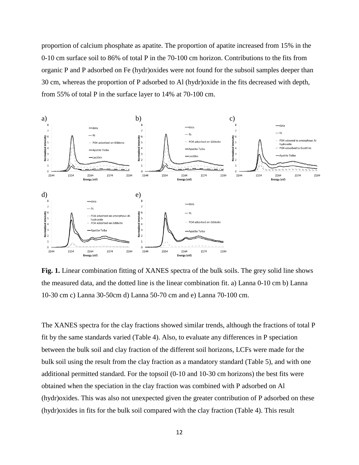proportion of calcium phosphate as apatite. The proportion of apatite increased from 15% in the 0-10 cm surface soil to 86% of total P in the 70-100 cm horizon. Contributions to the fits from organic P and P adsorbed on Fe (hydr)oxides were not found for the subsoil samples deeper than 30 cm, whereas the proportion of P adsorbed to Al (hydr)oxide in the fits decreased with depth, from 55% of total P in the surface layer to 14% at 70-100 cm.



**Fig. 1.** Linear combination fitting of XANES spectra of the bulk soils. The grey solid line shows the measured data, and the dotted line is the linear combination fit. a) Lanna 0-10 cm b) Lanna 10-30 cm c) Lanna 30-50cm d) Lanna 50-70 cm and e) Lanna 70-100 cm.

The XANES spectra for the clay fractions showed similar trends, although the fractions of total P fit by the same standards varied (Table 4). Also, to evaluate any differences in P speciation between the bulk soil and clay fraction of the different soil horizons, LCFs were made for the bulk soil using the result from the clay fraction as a mandatory standard (Table 5), and with one additional permitted standard. For the topsoil (0-10 and 10-30 cm horizons) the best fits were obtained when the speciation in the clay fraction was combined with P adsorbed on Al (hydr)oxides. This was also not unexpected given the greater contribution of P adsorbed on these (hydr)oxides in fits for the bulk soil compared with the clay fraction (Table 4). This result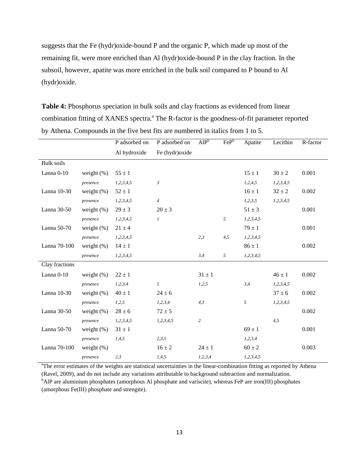suggests that the Fe (hydr)oxide-bound P and the organic P, which made up most of the remaining fit, were more enriched than Al (hydr)oxide-bound P in the clay fraction. In the subsoil, however, apatite was more enriched in the bulk soil compared to P bound to Al (hydr)oxide.

**Table 4:** Phosphorus speciation in bulk soils and clay fractions as evidenced from linear combination fitting of XANES spectra.<sup>a</sup> The R-factor is the goodness-of-fit parameter reported by Athena. Compounds in the five best fits are numbered in italics from 1 to 5.

|                   |               | P adsorbed on | P adsorbed on   | AlP <sup>b</sup> | FeP <sup>b</sup> | Apatite       | Lecithin      | R-factor |
|-------------------|---------------|---------------|-----------------|------------------|------------------|---------------|---------------|----------|
|                   |               | Al hydroxide  | Fe (hydr) oxide |                  |                  |               |               |          |
| <b>Bulk soils</b> |               |               |                 |                  |                  |               |               |          |
| Lanna 0-10        | weight $(\%)$ | $55 \pm 1$    |                 |                  |                  | $15 \pm 1$    | $30 \pm 2$    | 0.001    |
|                   | presence      | 1,2,3,4,5     | $\mathfrak{Z}$  |                  |                  | 1,2,4,5       | 1,2,3,4,5     |          |
| Lanna 10-30       | weight $(\%)$ | $52 \pm 1$    |                 |                  |                  | $16 \pm 1$    | $32 \pm 2$    | 0.002    |
|                   | presence      | 1, 2, 3, 4, 5 | $\overline{4}$  |                  |                  | 1, 2, 3, 5    | 1, 2, 3, 4, 5 |          |
| Lanna 30-50       | weight $(\%)$ | $29 \pm 3$    | $20 \pm 3$      |                  |                  | $51 \pm 3$    |               | 0.001    |
|                   | presence      | 1,2,3,4,5     | $\mathfrak{1}$  |                  | 5                | 1,2,3,4,5     |               |          |
| Lanna 50-70       | weight $(\%)$ | $21 \pm 4$    |                 |                  |                  | $79 \pm 1$    |               | 0.001    |
|                   | presence      | 1,2,3,4,5     |                 | 2,3              | 4,5              | 1,2,3,4,5     |               |          |
| Lanna 70-100      | weight $(\%)$ | $14 \pm 1$    |                 |                  |                  | $86 \pm 1$    |               | 0.002    |
|                   | presence      | 1,2,3,4,5     |                 | 3,4              | 5                | 1, 2, 3, 4, 5 |               |          |
| Clay fractions    |               |               |                 |                  |                  |               |               |          |
| Lanna 0-10        | weight $(\%)$ | $22 \pm 1$    |                 | $31 \pm 1$       |                  |               | $46\pm1$      | 0.002    |
|                   | presence      | 1,2,3,4       | 5               | 1,2,5            |                  | 3,4           | 1,2,3,4,5     |          |
| Lanna 10-30       | weight $(\%)$ | $40 \pm 1$    | $24 \pm 6$      |                  |                  |               | $37 \pm 6$    | 0.002    |
|                   | presence      | 1,2,5         | 1,2,3,4         | 4,3              |                  | 5             | 1, 2, 3, 4, 5 |          |
| Lanna 30-50       | weight $(\%)$ | $28 \pm 6$    | $72 \pm 5$      |                  |                  |               |               | 0.002    |
|                   | presence      | 1,2,3,4,5     | 1,2,3,4,5       | $\overline{c}$   |                  |               | 4,5           |          |
| Lanna 50-70       | weight $(\%)$ | $31 \pm 1$    |                 |                  |                  | $69 \pm 1$    |               | 0.001    |
|                   | presence      | 1,4,5         | 2,3,5           |                  |                  | 1, 2, 3, 4    |               |          |
| Lanna 70-100      | weight $(\%)$ |               | $16 \pm 2$      | $24 \pm 1$       |                  | $60 \pm 2$    |               | 0.003    |
|                   | presence      | 2,3           | 1,4,5           | 1, 2, 3, 4       |                  | 1, 2, 3, 4, 5 |               |          |

<sup>a</sup>The error estimates of the weights are statistical uncertainties in the linear-combination fitting as reported by Athena (Ravel, 2009), and do not include any variations attributable to background subtraction and normalization.

<sup>b</sup>AlP are aluminium phosphates (amorphous Al phosphate and variscite), whereas FeP are iron(III) phosphates (amorphous Fe(III) phosphate and strengite).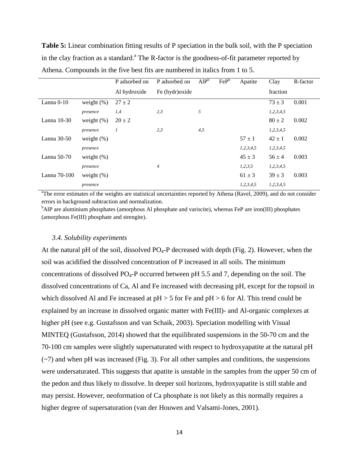**Table 5:** Linear combination fitting results of P speciation in the bulk soil, with the P speciation in the clay fraction as a standard.<sup>a</sup> The R-factor is the goodness-of-fit parameter reported by Athena. Compounds in the five best fits are numbered in italics from 1 to 5.

|               |               | P adsorbed on | P adsorbed on   | AlP <sup>b</sup> | FeP <sup>b</sup> | Apatite    | Clay          | R-factor |
|---------------|---------------|---------------|-----------------|------------------|------------------|------------|---------------|----------|
|               |               | Al hydroxide  | Fe (hydr) oxide |                  |                  |            | fraction      |          |
| Lanna 0-10    | weight $(\%)$ | $27 \pm 2$    |                 |                  |                  |            | $73 \pm 3$    | 0.001    |
|               | presence      | 1,4           | 2,3             | 5                |                  |            | 1, 2, 3, 4, 5 |          |
| Lanna $10-30$ | weight $(\%)$ | $20 \pm 2$    |                 |                  |                  |            | $80 \pm 2$    | 0.002    |
|               | presence      | 1             | 2,3             | 4,5              |                  |            | 1, 2, 3, 4, 5 |          |
| Lanna $30-50$ | weight $(\%)$ |               |                 |                  |                  | $57 \pm 1$ | $42 \pm 1$    | 0.002    |
|               | presence      |               |                 |                  |                  | 1,2,3,4,5  | 1, 2, 3, 4, 5 |          |
| Lanna 50-70   | weight $(\%)$ |               |                 |                  |                  | $45 \pm 3$ | $56 \pm 4$    | 0.003    |
|               | presence      |               | 4               |                  |                  | 1,2,3,5    | 1, 2, 3, 4, 5 |          |
| Lanna 70-100  | weight $(\%)$ |               |                 |                  |                  | $61 \pm 3$ | $39 \pm 3$    | 0.003    |
|               | presence      |               |                 |                  |                  | 1,2,3,4,5  | 1, 2, 3, 4, 5 |          |

<sup>a</sup>The error estimates of the weights are statistical uncertainties reported by Athena (Ravel, 2009), and do not consider errors in background subtraction and normalization.

<sup>b</sup>AlP are aluminium phosphates (amorphous Al phosphate and variscite), whereas FeP are iron(III) phosphates (amorphous Fe(III) phosphate and strengite).

#### *3.4. Solubility experiments*

At the natural pH of the soil, dissolved  $PO_4$ -P decreased with depth (Fig. 2). However, when the soil was acidified the dissolved concentration of P increased in all soils. The minimum concentrations of dissolved  $PO_4$ -P occurred between pH 5.5 and 7, depending on the soil. The dissolved concentrations of Ca, Al and Fe increased with decreasing pH, except for the topsoil in which dissolved Al and Fe increased at  $pH > 5$  for Fe and  $pH > 6$  for Al. This trend could be explained by an increase in dissolved organic matter with Fe(III)- and Al-organic complexes at higher pH (see e.g. Gustafsson and van Schaik, 2003). Speciation modelling with Visual MINTEQ (Gustafsson, 2014) showed that the equilibrated suspensions in the 50-70 cm and the 70-100 cm samples were slightly supersaturated with respect to hydroxyapatite at the natural pH  $(\sim)$  and when pH was increased (Fig. 3). For all other samples and conditions, the suspensions were undersaturated. This suggests that apatite is unstable in the samples from the upper 50 cm of the pedon and thus likely to dissolve. In deeper soil horizons, hydroxyapatite is still stable and may persist. However, neoformation of Ca phosphate is not likely as this normally requires a higher degree of supersaturation (van der Houwen and Valsami-Jones, 2001).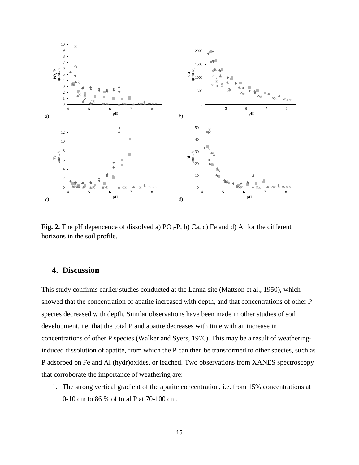

**Fig. 2.** The pH depencence of dissolved a)  $PO_4-P$ , b) Ca, c) Fe and d) Al for the different horizons in the soil profile.

# **4. Discussion**

This study confirms earlier studies conducted at the Lanna site (Mattson et al., 1950), which showed that the concentration of apatite increased with depth, and that concentrations of other P species decreased with depth. Similar observations have been made in other studies of soil development, i.e. that the total P and apatite decreases with time with an increase in concentrations of other P species (Walker and Syers, 1976). This may be a result of weatheringinduced dissolution of apatite, from which the P can then be transformed to other species, such as P adsorbed on Fe and Al (hydr)oxides, or leached. Two observations from XANES spectroscopy that corroborate the importance of weathering are:

1. The strong vertical gradient of the apatite concentration, i.e. from 15% concentrations at 0-10 cm to 86 % of total P at 70-100 cm.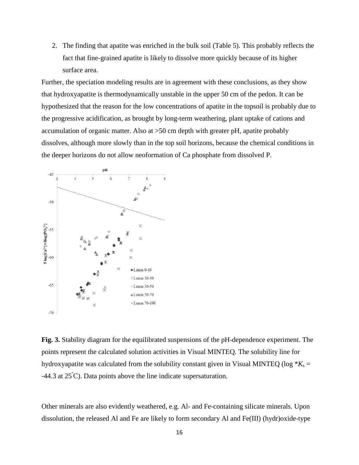2. The finding that apatite was enriched in the bulk soil (Table 5). This probably reflects the fact that fine-grained apatite is likely to dissolve more quickly because of its higher surface area.

Further, the speciation modeling results are in agreement with these conclusions, as they show that hydroxyapatite is thermodynamically unstable in the upper 50 cm of the pedon. It can be hypothesized that the reason for the low concentrations of apatite in the topsoil is probably due to the progressive acidification, as brought by long-term weathering, plant uptake of cations and accumulation of organic matter. Also at >50 cm depth with greater pH, apatite probably dissolves, although more slowly than in the top soil horizons, because the chemical conditions in the deeper horizons do not allow neoformation of Ca phosphate from dissolved P.



**Fig. 3.** Stability diagram for the equilibrated suspensions of the pH-dependence experiment. The points represent the calculated solution activities in Visual MINTEQ. The solubility line for hydroxyapatite was calculated from the solubility constant given in Visual MINTEQ ( $log * K_s =$  $-44.3$  at  $25^{\circ}$ C). Data points above the line indicate supersaturation.

Other minerals are also evidently weathered, e.g. Al- and Fe-containing silicate minerals. Upon dissolution, the released Al and Fe are likely to form secondary Al and Fe(III) (hydr)oxide-type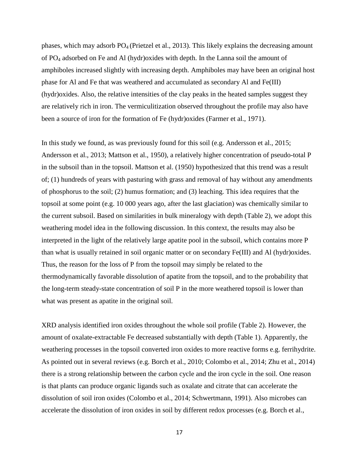phases, which may adsorb  $PO_4$  (Prietzel et al., 2013). This likely explains the decreasing amount of PO4 adsorbed on Fe and Al (hydr)oxides with depth. In the Lanna soil the amount of amphiboles increased slightly with increasing depth. Amphiboles may have been an original host phase for Al and Fe that was weathered and accumulated as secondary Al and Fe(III) (hydr)oxides. Also, the relative intensities of the clay peaks in the heated samples suggest they are relatively rich in iron. The vermiculitization observed throughout the profile may also have been a source of iron for the formation of Fe (hydr)oxides (Farmer et al., 1971).

In this study we found, as was previously found for this soil (e.g. Andersson et al., 2015; Andersson et al., 2013; Mattson et al., 1950), a relatively higher concentration of pseudo-total P in the subsoil than in the topsoil. Mattson et al. (1950) hypothesized that this trend was a result of; (1) hundreds of years with pasturing with grass and removal of hay without any amendments of phosphorus to the soil; (2) humus formation; and (3) leaching. This idea requires that the topsoil at some point (e.g. 10 000 years ago, after the last glaciation) was chemically similar to the current subsoil. Based on similarities in bulk mineralogy with depth (Table 2), we adopt this weathering model idea in the following discussion. In this context, the results may also be interpreted in the light of the relatively large apatite pool in the subsoil, which contains more P than what is usually retained in soil organic matter or on secondary Fe(III) and Al (hydr)oxides. Thus, the reason for the loss of P from the topsoil may simply be related to the thermodynamically favorable dissolution of apatite from the topsoil, and to the probability that the long-term steady-state concentration of soil P in the more weathered topsoil is lower than what was present as apatite in the original soil.

XRD analysis identified iron oxides throughout the whole soil profile (Table 2). However, the amount of oxalate-extractable Fe decreased substantially with depth (Table 1). Apparently, the weathering processes in the topsoil converted iron oxides to more reactive forms e.g. ferrihydrite. As pointed out in several reviews (e.g. Borch et al., 2010; Colombo et al., 2014; Zhu et al., 2014) there is a strong relationship between the carbon cycle and the iron cycle in the soil. One reason is that plants can produce organic ligands such as oxalate and citrate that can accelerate the dissolution of soil iron oxides (Colombo et al., 2014; Schwertmann, 1991). Also microbes can accelerate the dissolution of iron oxides in soil by different redox processes (e.g. Borch et al.,

17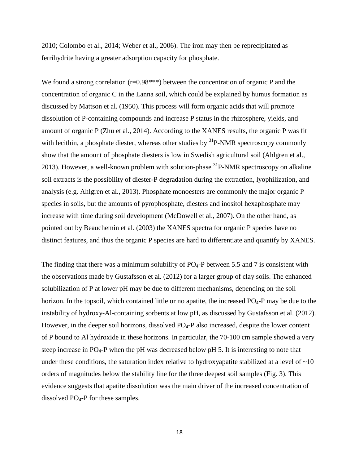2010; Colombo et al., 2014; Weber et al., 2006). The iron may then be reprecipitated as ferrihydrite having a greater adsorption capacity for phosphate.

We found a strong correlation  $(r=0.98***)$  between the concentration of organic P and the concentration of organic C in the Lanna soil, which could be explained by humus formation as discussed by Mattson et al. (1950). This process will form organic acids that will promote dissolution of P-containing compounds and increase P status in the rhizosphere, yields, and amount of organic P (Zhu et al., 2014). According to the XANES results, the organic P was fit with lecithin, a phosphate diester, whereas other studies by  ${}^{31}P$ -NMR spectroscopy commonly show that the amount of phosphate diesters is low in Swedish agricultural soil (Ahlgren et al., 2013). However, a well-known problem with solution-phase  ${}^{31}P$ -NMR spectroscopy on alkaline soil extracts is the possibility of diester-P degradation during the extraction, lyophilization, and analysis (e.g. Ahlgren et al., 2013). Phosphate monoesters are commonly the major organic P species in soils, but the amounts of pyrophosphate, diesters and inositol hexaphosphate may increase with time during soil development (McDowell et al., 2007). On the other hand, as pointed out by Beauchemin et al. (2003) the XANES spectra for organic P species have no distinct features, and thus the organic P species are hard to differentiate and quantify by XANES.

The finding that there was a minimum solubility of  $PO<sub>4</sub>-P$  between 5.5 and 7 is consistent with the observations made by Gustafsson et al. (2012) for a larger group of clay soils. The enhanced solubilization of P at lower pH may be due to different mechanisms, depending on the soil horizon. In the topsoil, which contained little or no apatite, the increased  $PO_4$ -P may be due to the instability of hydroxy-Al-containing sorbents at low pH, as discussed by Gustafsson et al. (2012). However, in the deeper soil horizons, dissolved  $PQ_4-P$  also increased, despite the lower content of P bound to Al hydroxide in these horizons. In particular, the 70-100 cm sample showed a very steep increase in  $PO_4$ -P when the pH was decreased below pH 5. It is interesting to note that under these conditions, the saturation index relative to hydroxyapatite stabilized at a level of  $\sim 10$ orders of magnitudes below the stability line for the three deepest soil samples (Fig. 3). This evidence suggests that apatite dissolution was the main driver of the increased concentration of dissolved  $PO<sub>4</sub>-P$  for these samples.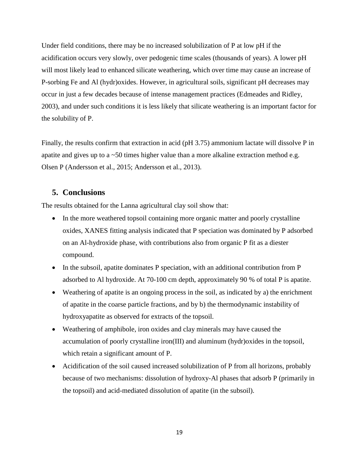Under field conditions, there may be no increased solubilization of P at low pH if the acidification occurs very slowly, over pedogenic time scales (thousands of years). A lower pH will most likely lead to enhanced silicate weathering, which over time may cause an increase of P-sorbing Fe and Al (hydr)oxides. However, in agricultural soils, significant pH decreases may occur in just a few decades because of intense management practices (Edmeades and Ridley, 2003), and under such conditions it is less likely that silicate weathering is an important factor for the solubility of P.

Finally, the results confirm that extraction in acid (pH 3.75) ammonium lactate will dissolve P in apatite and gives up to a ~50 times higher value than a more alkaline extraction method e.g. Olsen P (Andersson et al., 2015; Andersson et al., 2013).

# **5. Conclusions**

The results obtained for the Lanna agricultural clay soil show that:

- In the more weathered topsoil containing more organic matter and poorly crystalline oxides, XANES fitting analysis indicated that P speciation was dominated by P adsorbed on an Al-hydroxide phase, with contributions also from organic P fit as a diester compound.
- In the subsoil, apatite dominates P speciation, with an additional contribution from P adsorbed to Al hydroxide. At 70-100 cm depth, approximately 90 % of total P is apatite.
- Weathering of apatite is an ongoing process in the soil, as indicated by a) the enrichment of apatite in the coarse particle fractions, and by b) the thermodynamic instability of hydroxyapatite as observed for extracts of the topsoil.
- Weathering of amphibole, iron oxides and clay minerals may have caused the accumulation of poorly crystalline iron(III) and aluminum (hydr)oxides in the topsoil, which retain a significant amount of P.
- Acidification of the soil caused increased solubilization of P from all horizons, probably because of two mechanisms: dissolution of hydroxy-Al phases that adsorb P (primarily in the topsoil) and acid-mediated dissolution of apatite (in the subsoil).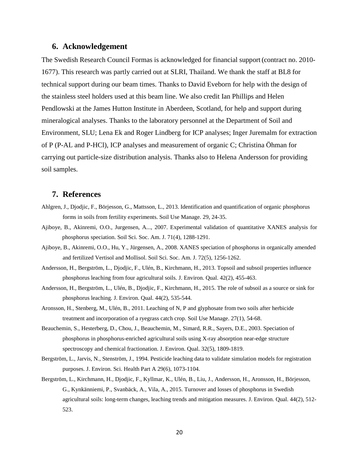## **6. Acknowledgement**

The Swedish Research Council Formas is acknowledged for financial support (contract no. 2010- 1677). This research was partly carried out at SLRI, Thailand. We thank the staff at BL8 for technical support during our beam times. Thanks to David Eveborn for help with the design of the stainless steel holders used at this beam line. We also credit Ian Phillips and Helen Pendlowski at the James Hutton Institute in Aberdeen, Scotland, for help and support during mineralogical analyses. Thanks to the laboratory personnel at the Department of Soil and Environment, SLU; Lena Ek and Roger Lindberg for ICP analyses; Inger Juremalm for extraction of P (P-AL and P-HCl), ICP analyses and measurement of organic C; Christina Öhman for carrying out particle-size distribution analysis. Thanks also to Helena Andersson for providing soil samples.

# **7. References**

- Ahlgren, J., Djodjic, F., Börjesson, G., Mattsson, L., 2013. Identification and quantification of organic phosphorus forms in soils from fertility experiments. Soil Use Manage. 29, 24-35.
- Ajiboye, B., Akinremi, O.O., Jurgensen, A..., 2007. Experimental validation of quantitative XANES analysis for phosphorus speciation. Soil Sci. Soc. Am. J. 71(4), 1288-1291.
- Ajiboye, B., Akinremi, O.O., Hu, Y., Jürgensen, A., 2008. XANES speciation of phosphorus in organically amended and fertilized Vertisol and Mollisol. Soil Sci. Soc. Am. J. 72(5), 1256-1262.
- Andersson, H., Bergström, L., Djodjic, F., Ulén, B., Kirchmann, H., 2013. Topsoil and subsoil properties influence phosphorus leaching from four agricultural soils. J. Environ. Qual. 42(2), 455-463.
- Andersson, H., Bergström, L., Ulén, B., Djodjic, F., Kirchmann, H., 2015. The role of subsoil as a source or sink for phosphorus leaching. J. Environ. Qual. 44(2), 535-544.
- Aronsson, H., Stenberg, M., Ulén, B., 2011. Leaching of N, P and glyphosate from two soils after herbicide treatment and incorporation of a ryegrass catch crop. Soil Use Manage. 27(1), 54-68.
- Beauchemin, S., Hesterberg, D., Chou, J., Beauchemin, M., Simard, R.R., Sayers, D.E., 2003. Speciation of phosphorus in phosphorus-enriched agricultural soils using X-ray absorption near-edge structure spectroscopy and chemical fractionation. J. Environ. Qual. 32(5), 1809-1819.
- Bergström, L., Jarvis, N., Stenström, J., 1994. Pesticide leaching data to validate simulation models for registration purposes. J. Environ. Sci. Health Part A 29(6), 1073-1104.
- Bergström, L., Kirchmann, H., Djodjic, F., Kyllmar, K., Ulén, B., Liu, J., Andersson, H., Aronsson, H., Börjesson, G., Kynkänniemi, P., Svanbäck, A., Vila, A., 2015. Turnover and losses of phosphorus in Swedish agricultural soils: long-term changes, leaching trends and mitigation measures. J. Environ. Qual. 44(2), 512- 523.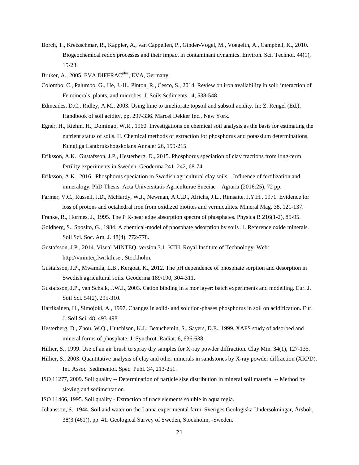- Borch, T., Kretzschmar, R., Kappler, A., van Cappellen, P., Ginder-Vogel, M., Voegelin, A., Campbell, K., 2010. Biogeochemical redox processes and their impact in contaminant dynamics. Environ. Sci. Technol. 44(1), 15-23.
- Bruker, A., 2005. EVA DIFFRAC<sup>plus</sup>, EVA, Germany.
- Colombo, C., Palumbo, G., He, J.-H., Pinton, R., Cesco, S., 2014. Review on iron availability in soil: interaction of Fe minerals, plants, and microbes. J. Soils Sediments 14, 538-548.
- Edmeades, D.C., Ridley, A.M., 2003. Using lime to ameliorate topsoil and subsoil acidity. In: Z. Rengel (Ed.), Handbook of soil acidity, pp. 297-336. Marcel Dekker Inc., New York.
- Egnér, H., Riehm, H., Domingo, W.R., 1960. Investigations on chemical soil analysis as the basis for estimating the nutrient status of soils. II. Chemical methods of extraction for phosphorus and potassium determinations. Kungliga Lantbrukshogskolans Annaler 26, 199-215.
- Eriksson, A.K., Gustafsson, J.P., Hesterberg, D., 2015. Phosphorus speciation of clay fractions from long-term fertility experiments in Sweden. Geoderma 241–242, 68-74.
- Eriksson, A.K., 2016. Phosphorus speciation in Swedish agricultural clay soils Influence of fertilization and mineralogy. PhD Thesis. Acta Universitatis Agriculturae Sueciae – Agraria (2016:25), 72 pp.
- Farmer, V.C., Russell, J.D., McHardy, W.J., Newman, A.C.D., Alrichs, J.L., Rimsaite, J.Y.H., 1971. Evidence for loss of protons and octahedral iron from oxidized biotites and vermiculites. Mineral Mag. 38, 121-137.
- Franke, R., Hormes, J., 1995. The P K-near edge absorption spectra of phosphates. Physica B 216(1-2), 85-95.
- Goldberg, S., Sposito, G., 1984. A chemical-model of phosphate adsorption by soils .1. Reference oxide minerals. Soil Sci. Soc. Am. J. 48(4), 772-778.
- Gustafsson, J.P., 2014. Visual MINTEQ, version 3.1. KTH, Royal Institute of Technology. Web: http://vminteq.lwr.kth.se., Stockholm.
- Gustafsson, J.P., Mwamila, L.B., Kergoat, K., 2012. The pH dependence of phosphate sorption and desorption in Swedish agricultural soils. Geoderma 189/190, 304-311.
- Gustafsson, J.P., van Schaik, J.W.J., 2003. Cation binding in a mor layer: batch experiments and modelling. Eur. J. Soil Sci. 54(2), 295-310.
- Hartikainen, H., Simojoki, A., 1997. Changes in soild- and solution-phases phosphorus in soil on acidification. Eur. J. Soil Sci. 48, 493-498.
- Hesterberg, D., Zhou, W.Q., Hutchison, K.J., Beauchemin, S., Sayers, D.E., 1999. XAFS study of adsorbed and mineral forms of phosphate. J. Synchrot. Radiat. 6, 636-638.
- Hillier, S., 1999. Use of an air brush to spray dry samples for X-ray powder diffraction. Clay Min. 34(1), 127-135.
- Hillier, S., 2003. Quantitative analysis of clay and other minerals in sandstones by X-ray powder diffraction (XRPD). Int. Assoc. Sedimentol. Spec. Publ. 34, 213-251.
- ISO 11277, 2009. Soil quality -- Determination of particle size distribution in mineral soil material -- Method by sieving and sedimentation.
- ISO 11466, 1995. Soil quality Extraction of trace elements soluble in aqua regia.
- Johansson, S., 1944. Soil and water on the Lanna experimental farm. Sveriges Geologiska Undersökningar, Årsbok, 38(3 (461)), pp. 41. Geological Survey of Sweden, Stockholm, -Sweden.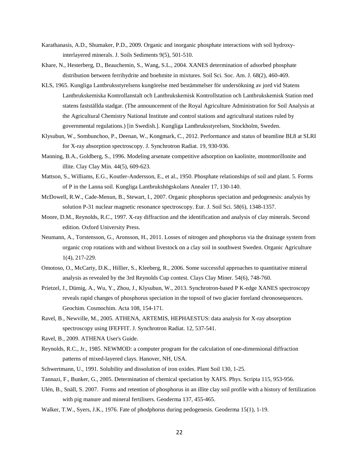- Karathanasis, A.D., Shumaker, P.D., 2009. Organic and inorganic phosphate interactions with soil hydroxyinterlayered minerals. J. Soils Sediments 9(5), 501-510.
- Khare, N., Hesterberg, D., Beauchemin, S., Wang, S.L., 2004. XANES determination of adsorbed phosphate distribution between ferrihydrite and boehmite in mixtures. Soil Sci. Soc. Am. J. 68(2), 460-469.
- KLS, 1965. Kungliga Lantbruksstyrelsens kungörelse med bestämmelser för undersökning av jord vid Statens Lantbrukskemiska Kontrollanstalt och Lantbrukskemisk Kontrollstation och Lantbrukskemisk Station med statens fastställda stadgar. (The announcement of the Royal Agriculture Administration for Soil Analysis at the Agricultural Chemistry National Institute and control stations and agricultural stations ruled by governmental regulations.) [in Swedish.]. Kungliga Lantbruksstyrelsen, Stockholm, Sweden.
- Klysubun, W., Sombunchoo, P., Deenan, W., Kongmark, C., 2012. Performance and status of beamline BL8 at SLRI for X-ray absorption spectroscopy. J. Synchrotron Radiat. 19, 930-936.
- Manning, B.A., Goldberg, S., 1996. Modeling arsenate competitive adsorption on kaolinite, montmorillonite and illite. Clay Clay Min. 44(5), 609-623.
- Mattson, S., Williams, E.G., Koutler-Andersson, E., et al., 1950. Phosphate relationships of soil and plant. 5. Forms of P in the Lanna soil. Kungliga Lantbrukshögskolans Annaler 17, 130-140.
- McDowell, R.W., Cade-Menun, B., Stewart, I., 2007. Organic phosphorus speciation and pedogenesis: analysis by solution P-31 nuclear magnetic resonance spectroscopy. Eur. J. Soil Sci. 58(6), 1348-1357.
- Moore, D.M., Reynolds, R.C., 1997. X-ray diffraction and the identification and analysis of clay minerals. Second edition. Oxford University Press.
- Neumann, A., Torstensson, G., Aronsson, H., 2011. Losses of nitrogen and phosphorus via the drainage system from organic crop rotations with and without livestock on a clay soil in southwest Sweden. Organic Agriculture 1(4), 217-229.
- Omotoso, O., McCarty, D.K., Hillier, S., Kleeberg, R., 2006. Some successful approaches to quantitative mineral analysis as revealed by the 3rd Reynolds Cup contest. Clays Clay Miner. 54(6), 748-760.
- Prietzel, J., Dümig, A., Wu, Y., Zhou, J., Klysubun, W., 2013. Synchrotron-based P K-edge XANES spectroscopy reveals rapid changes of phosphorus speciation in the topsoil of two glacier foreland chronosequences. Geochim. Cosmochim. Acta 108, 154-171.
- Ravel, B., Newville, M., 2005. ATHENA, ARTEMIS, HEPHAESTUS: data analysis for X-ray absorption spectroscopy using IFEFFIT. J. Synchrotron Radiat. 12, 537-541.
- Ravel, B., 2009. ATHENA User's Guide.
- Reynolds, R.C., Jr., 1985. NEWMOD: a computer program for the calculation of one-dimensional diffraction patterns of mixed-layered clays. Hanover, NH, USA.
- Schwertmann, U., 1991. Solubility and dissolution of iron oxides. Plant Soil 130, 1-25.
- Tannazi, F., Bunker, G., 2005. Determination of chemical speciation by XAFS. Phys. Scripta 115, 953-956.
- Ulén, B., Snäll, S. 2007. Forms and retention of phosphorus in an illite clay soil profile with a history of fertilization with pig manure and mineral fertilisers. Geoderma 137, 455-465.
- Walker, T.W., Syers, J.K., 1976. Fate of phodphorus during pedogenesis. Geoderma 15(1), 1-19.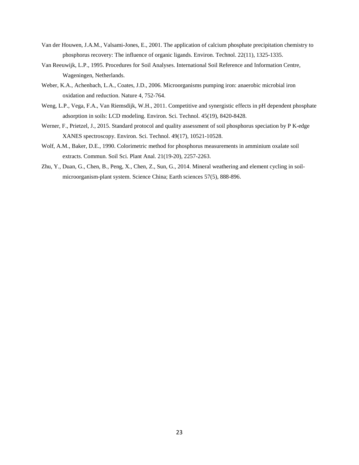- Van der Houwen, J.A.M., Valsami-Jones, E., 2001. The application of calcium phosphate precipitation chemistry to phosphorus recovery: The influence of organic ligands. Environ. Technol. 22(11), 1325-1335.
- Van Reeuwijk, L.P., 1995. Procedures for Soil Analyses. International Soil Reference and Information Centre, Wageningen, Netherlands.
- Weber, K.A., Achenbach, L.A., Coates, J.D., 2006. Microorganisms pumping iron: anaerobic microbial iron oxidation and reduction. Nature 4, 752-764.
- Weng, L.P., Vega, F.A., Van Riemsdijk, W.H., 2011. Competitive and synergistic effects in pH dependent phosphate adsorption in soils: LCD modeling. Environ. Sci. Technol. 45(19), 8420-8428.
- Werner, F., Prietzel, J., 2015. Standard protocol and quality assessment of soil phosphorus speciation by P K-edge XANES spectroscopy. Environ. Sci. Technol. 49(17), 10521-10528.
- Wolf, A.M., Baker, D.E., 1990. Colorimetric method for phosphorus measurements in amminium oxalate soil extracts. Commun. Soil Sci. Plant Anal. 21(19-20), 2257-2263.
- Zhu, Y., Duan, G., Chen, B., Peng, X., Chen, Z., Sun, G., 2014. Mineral weathering and element cycling in soilmicroorganism-plant system. Science China; Earth sciences 57(5), 888-896.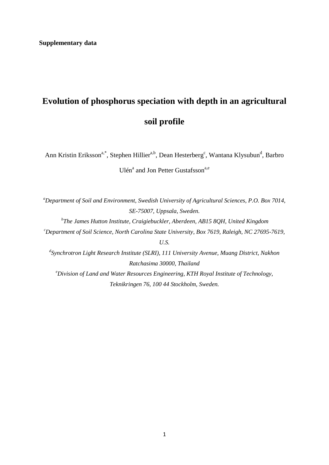# **Evolution of phosphorus speciation with depth in an agricultural soil profile**

Ann Kristin Eriksson<sup>a,\*</sup>, Stephen Hillier<sup>a,b</sup>, Dean Hesterberg<sup>c</sup>, Wantana Klysubun<sup>d</sup>, Barbro Ulén<sup>a</sup> and Jon Petter Gustafsson<sup>a,e</sup>

*a Department of Soil and Environment, Swedish University of Agricultural Sciences, P.O. Box 7014, SE-75007, Uppsala, Sweden.*

*b The James Hutton Institute, Craigiebuckler, Aberdeen, AB15 8QH, United Kingdom c Department of Soil Science, North Carolina State University, Box 7619, Raleigh, NC 27695-7619, U.S.*

*d Synchrotron Light Research Institute (SLRI), 111 University Avenue, Muang District, Nakhon Ratchasima 30000, Thailand e Division of Land and Water Resources Engineering, KTH Royal Institute of Technology, Teknikringen 76, 100 44 Stockholm, Sweden.*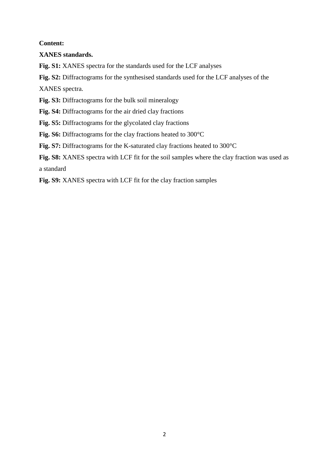# **Content:**

# **XANES standards.**

**Fig. S1:** XANES spectra for the standards used for the LCF analyses

**Fig. S2:** Diffractograms for the synthesised standards used for the LCF analyses of the

XANES spectra.

**Fig. S3:** Diffractograms for the bulk soil mineralogy

**Fig. S4:** Diffractograms for the air dried clay fractions

**Fig. S5:** Diffractograms for the glycolated clay fractions

**Fig. S6:** Diffractograms for the clay fractions heated to 300°C

**Fig. S7:** Diffractograms for the K-saturated clay fractions heated to 300°C

**Fig. S8:** XANES spectra with LCF fit for the soil samples where the clay fraction was used as a standard

**Fig. S9:** XANES spectra with LCF fit for the clay fraction samples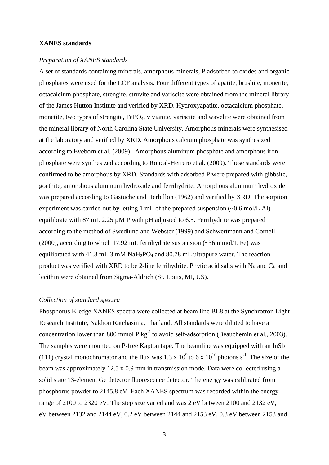## **XANES standards**

#### *Preparation of XANES standards*

A set of standards containing minerals, amorphous minerals, P adsorbed to oxides and organic phosphates were used for the LCF analysis. Four different types of apatite, brushite, monetite, octacalcium phosphate, strengite, struvite and variscite were obtained from the mineral library of the James Hutton Institute and verified by XRD. Hydroxyapatite, octacalcium phosphate, monetite, two types of strengite, FePO<sub>4</sub>, vivianite, variscite and wavelite were obtained from the mineral library of North Carolina State University. Amorphous minerals were synthesised at the laboratory and verified by XRD. Amorphous calcium phosphate was synthesized according to Eveborn et al. (2009). Amorphous aluminum phosphate and amorphous iron phosphate were synthesized according to Roncal-Herrero et al. (2009). These standards were confirmed to be amorphous by XRD. Standards with adsorbed P were prepared with gibbsite, goethite, amorphous aluminum hydroxide and ferrihydrite. Amorphous aluminum hydroxide was prepared according to Gastuche and Herbillon (1962) and verified by XRD. The sorption experiment was carried out by letting 1 mL of the prepared suspension (~0.6 mol/L Al) equilibrate with 87 mL 2.25 µM P with pH adjusted to 6.5. Ferrihydrite was prepared according to the method of Swedlund and Webster (1999) and Schwertmann and Cornell (2000), according to which 17.92 mL ferrihydrite suspension (~36 mmol/L Fe) was equilibrated with 41.3 mL 3 mM  $NaH<sub>2</sub>PO<sub>4</sub>$  and 80.78 mL ultrapure water. The reaction product was verified with XRD to be 2-line ferrihydrite. Phytic acid salts with Na and Ca and lecithin were obtained from Sigma-Aldrich (St. Louis, MI, US).

## *Collection of standard spectra*

Phosphorus K-edge XANES spectra were collected at beam line BL8 at the Synchrotron Light Research Institute, Nakhon Ratchasima, Thailand. All standards were diluted to have a concentration lower than 800 mmol P  $kg^{-1}$  to avoid self-adsorption (Beauchemin et al., 2003). The samples were mounted on P-free Kapton tape. The beamline was equipped with an InSb (111) crystal monochromator and the flux was 1.3 x  $10^9$  to 6 x  $10^{10}$  photons s<sup>-1</sup>. The size of the beam was approximately 12.5 x 0.9 mm in transmission mode. Data were collected using a solid state 13-element Ge detector fluorescence detector. The energy was calibrated from phosphorus powder to 2145.8 eV. Each XANES spectrum was recorded within the energy range of 2100 to 2320 eV. The step size varied and was 2 eV between 2100 and 2132 eV, 1 eV between 2132 and 2144 eV, 0.2 eV between 2144 and 2153 eV, 0.3 eV between 2153 and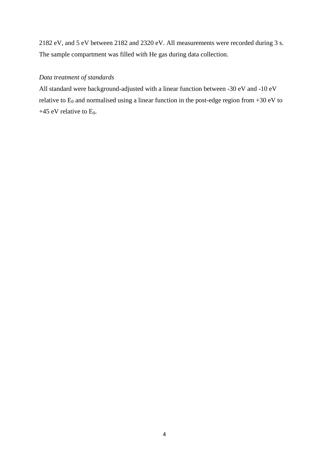2182 eV, and 5 eV between 2182 and 2320 eV. All measurements were recorded during 3 s. The sample compartment was filled with He gas during data collection.

# *Data treatment of standards*

All standard were background-adjusted with a linear function between -30 eV and -10 eV relative to  $E_0$  and normalised using a linear function in the post-edge region from +30 eV to +45 eV relative to  $E_0$ .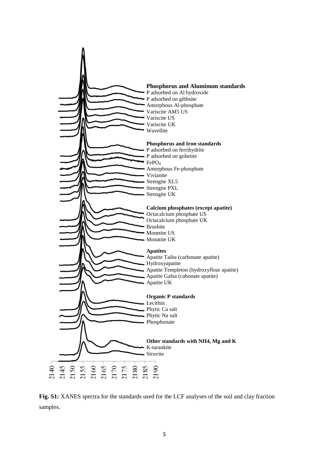

**Fig. S1:** XANES spectra for the standards used for the LCF analyses of the soil and clay fraction samples.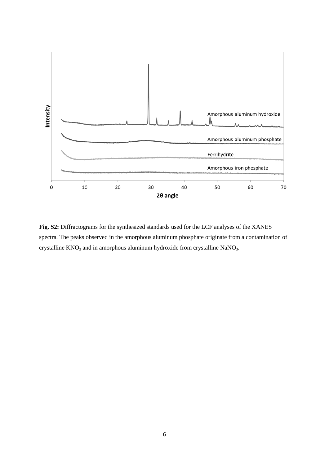

**Fig. S2:** Diffractograms for the synthesized standards used for the LCF analyses of the XANES spectra. The peaks observed in the amorphous aluminum phosphate originate from a contamination of crystalline  $KNO_3$  and in amorphous aluminum hydroxide from crystalline NaNO<sub>3</sub>.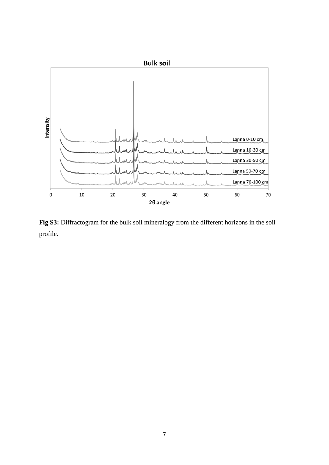

**Fig S3:** Diffractogram for the bulk soil mineralogy from the different horizons in the soil profile.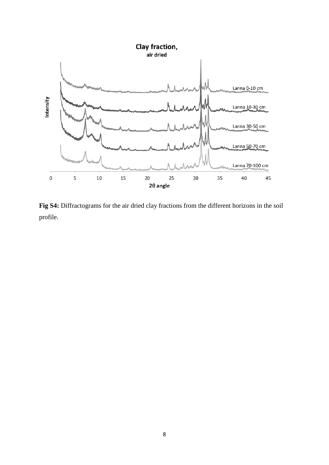

**Fig S4:** Diffractograms for the air dried clay fractions from the different horizons in the soil profile.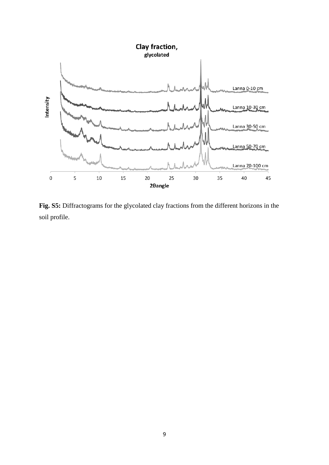

**Fig. S5:** Diffractograms for the glycolated clay fractions from the different horizons in the soil profile.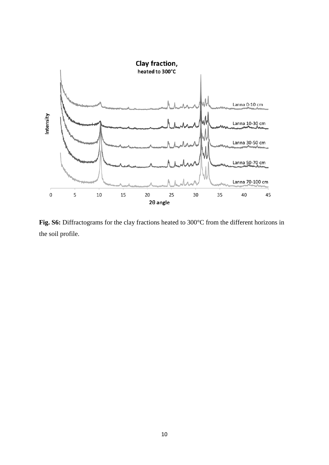

**Fig. S6:** Diffractograms for the clay fractions heated to 300°C from the different horizons in the soil profile.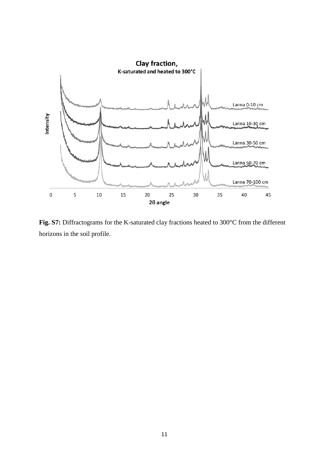

**Fig. S7:** Diffractograms for the K-saturated clay fractions heated to 300°C from the different horizons in the soil profile.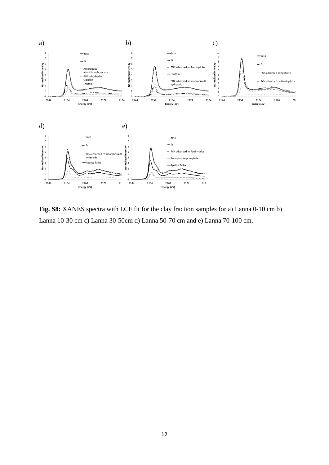

**Fig. S8:** XANES spectra with LCF fit for the clay fraction samples for a) Lanna 0-10 cm b) Lanna 10-30 cm c) Lanna 30-50cm d) Lanna 50-70 cm and e) Lanna 70-100 cm.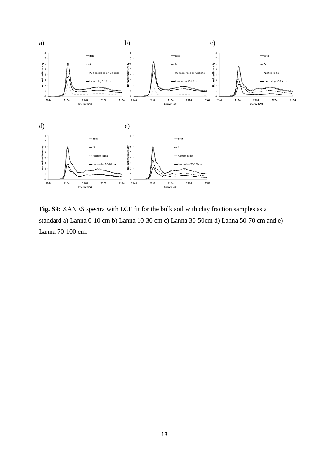

**Fig. S9:** XANES spectra with LCF fit for the bulk soil with clay fraction samples as a standard a) Lanna 0-10 cm b) Lanna 10-30 cm c) Lanna 30-50cm d) Lanna 50-70 cm and e) Lanna 70-100 cm.